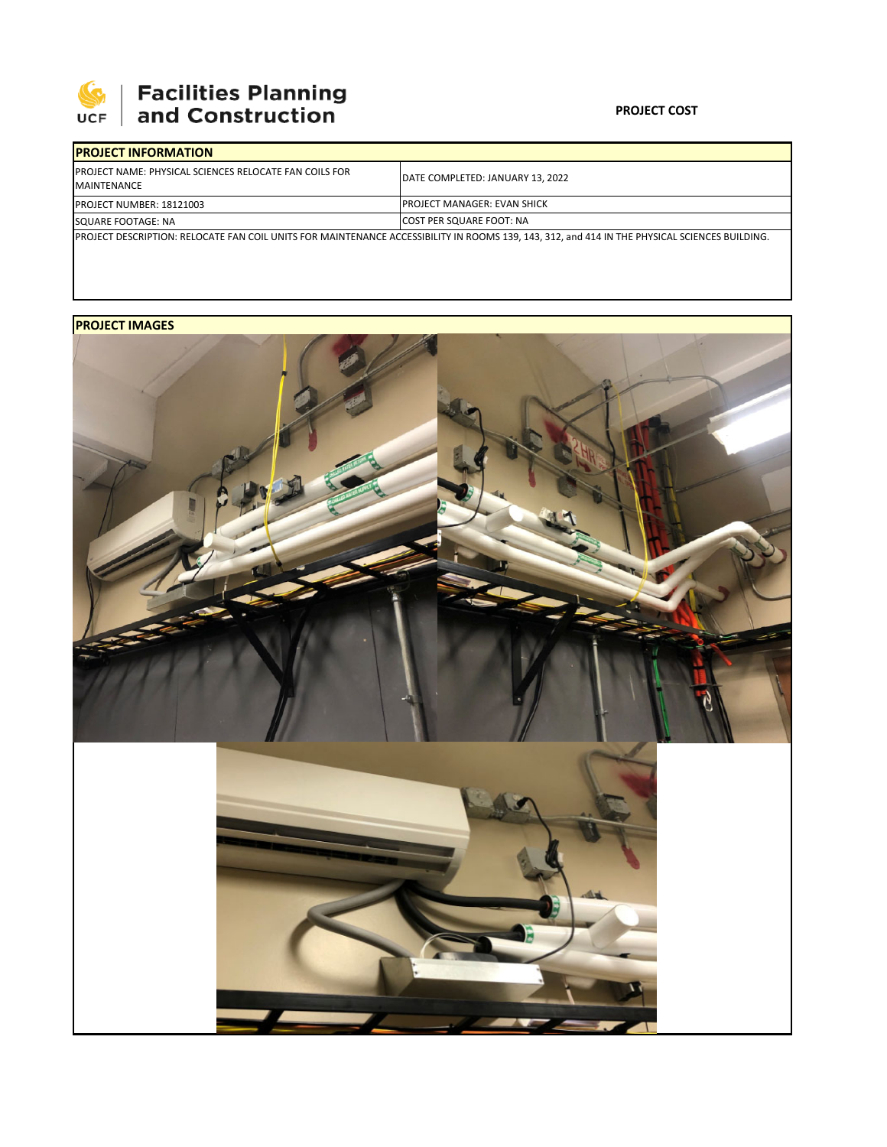

## **PROJECT COST**

| <b>IPROJECT INFORMATION</b>                                                                                                                   |                                     |  |  |  |
|-----------------------------------------------------------------------------------------------------------------------------------------------|-------------------------------------|--|--|--|
| <b>IPROJECT NAME: PHYSICAL SCIENCES RELOCATE FAN COILS FOR</b><br>MAINTENANCE                                                                 | DATE COMPLETED: JANUARY 13, 2022    |  |  |  |
| <b>PROJECT NUMBER: 18121003</b>                                                                                                               | <b>IPROJECT MANAGER: EVAN SHICK</b> |  |  |  |
| SQUARE FOOTAGE: NA                                                                                                                            | <b>COST PER SQUARE FOOT: NA</b>     |  |  |  |
| PROJECT DESCRIPTION: RELOCATE FAN COIL UNITS FOR MAINTENANCE ACCESSIBILITY IN ROOMS 139, 143, 312, and 414 IN THE PHYSICAL SCIENCES BUILDING. |                                     |  |  |  |

## **PROJECT IMAGES**